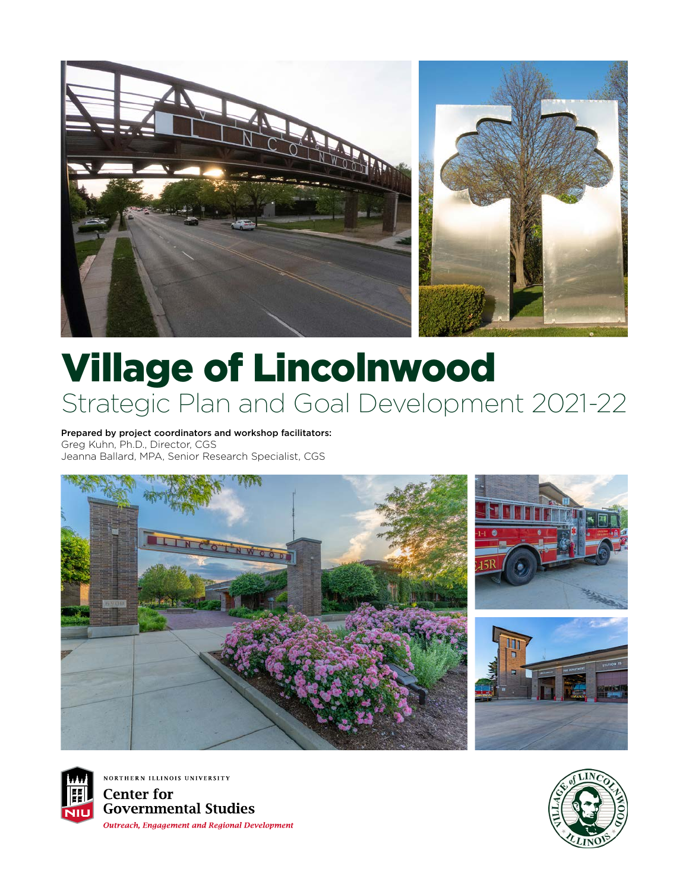

## Village of Lincolnwood Strategic Plan and Goal Development 2021-22

Prepared by project coordinators and workshop facilitators: Greg Kuhn, Ph.D., Director, CGS Jeanna Ballard, MPA, Senior Research Specialist, CGS





NORTHERN ILLINOIS UNIVERSITY **Center for Governmental Studies Outreach, Engagement and Regional Development** 

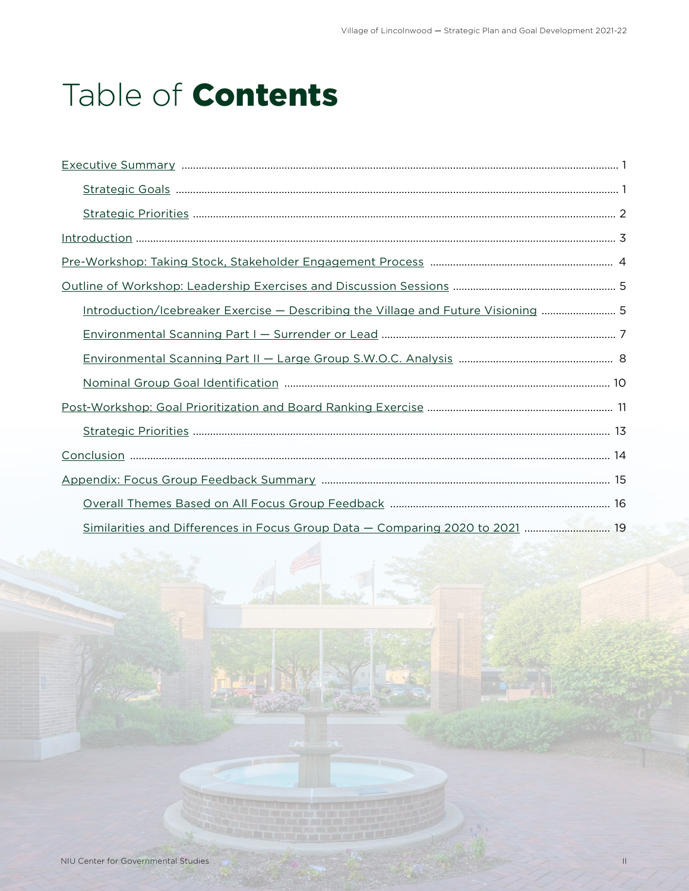## Table of **Contents**

| Introduction/Icebreaker Exercise - Describing the Village and Future Visioning  5 |
|-----------------------------------------------------------------------------------|
|                                                                                   |
|                                                                                   |
|                                                                                   |
|                                                                                   |
|                                                                                   |
|                                                                                   |
|                                                                                   |
|                                                                                   |
| Similarities and Differences in Focus Group Data - Comparing 2020 to 2021  19     |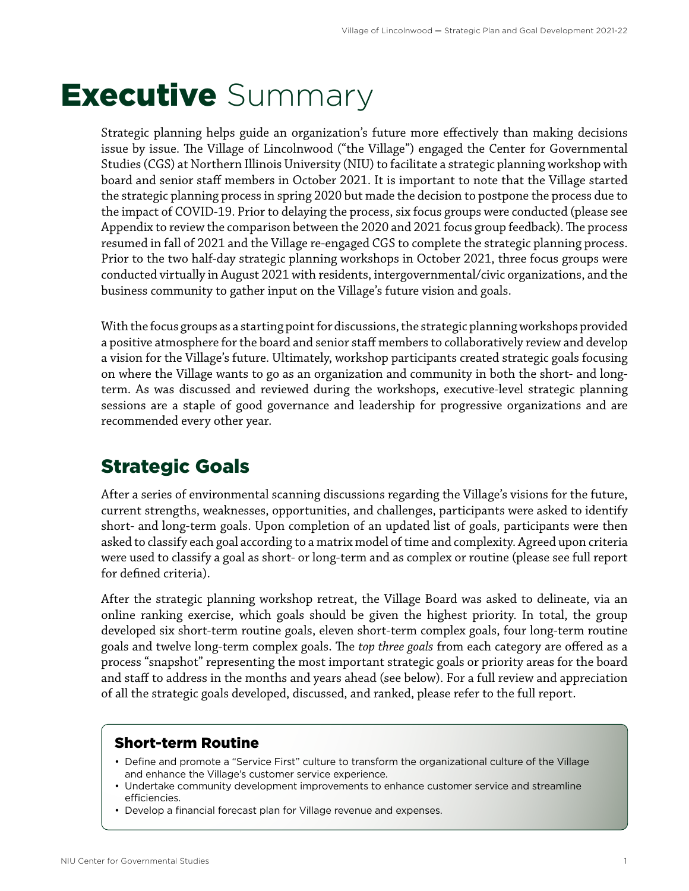## <span id="page-2-0"></span>**Executive** Summary

Strategic planning helps guide an organization's future more effectively than making decisions issue by issue. The Village of Lincolnwood ("the Village") engaged the Center for Governmental Studies (CGS) at Northern Illinois University (NIU) to facilitate a strategic planning workshop with board and senior staff members in October 2021. It is important to note that the Village started the strategic planning process in spring 2020 but made the decision to postpone the process due to the impact of COVID-19. Prior to delaying the process, six focus groups were conducted (please see Appendix to review the comparison between the 2020 and 2021 focus group feedback). The process resumed in fall of 2021 and the Village re-engaged CGS to complete the strategic planning process. Prior to the two half-day strategic planning workshops in October 2021, three focus groups were conducted virtually in August 2021 with residents, intergovernmental/civic organizations, and the business community to gather input on the Village's future vision and goals.

With the focus groups as a starting point for discussions, the strategic planning workshops provided a positive atmosphere for the board and senior staff members to collaboratively review and develop a vision for the Village's future. Ultimately, workshop participants created strategic goals focusing on where the Village wants to go as an organization and community in both the short- and longterm. As was discussed and reviewed during the workshops, executive-level strategic planning sessions are a staple of good governance and leadership for progressive organizations and are recommended every other year.

### Strategic Goals

After a series of environmental scanning discussions regarding the Village's visions for the future, current strengths, weaknesses, opportunities, and challenges, participants were asked to identify short- and long-term goals. Upon completion of an updated list of goals, participants were then asked to classify each goal according to a matrix model of time and complexity. Agreed upon criteria were used to classify a goal as short- or long-term and as complex or routine (please see full report for defined criteria).

After the strategic planning workshop retreat, the Village Board was asked to delineate, via an online ranking exercise, which goals should be given the highest priority. In total, the group developed six short-term routine goals, eleven short-term complex goals, four long-term routine goals and twelve long-term complex goals. The *top three goals* from each category are offered as a process "snapshot" representing the most important strategic goals or priority areas for the board and staff to address in the months and years ahead (see below). For a full review and appreciation of all the strategic goals developed, discussed, and ranked, please refer to the full report.

### Short-term Routine

- Define and promote a "Service First" culture to transform the organizational culture of the Village and enhance the Village's customer service experience.
- Undertake community development improvements to enhance customer service and streamline efficiencies.
- Develop a financial forecast plan for Village revenue and expenses.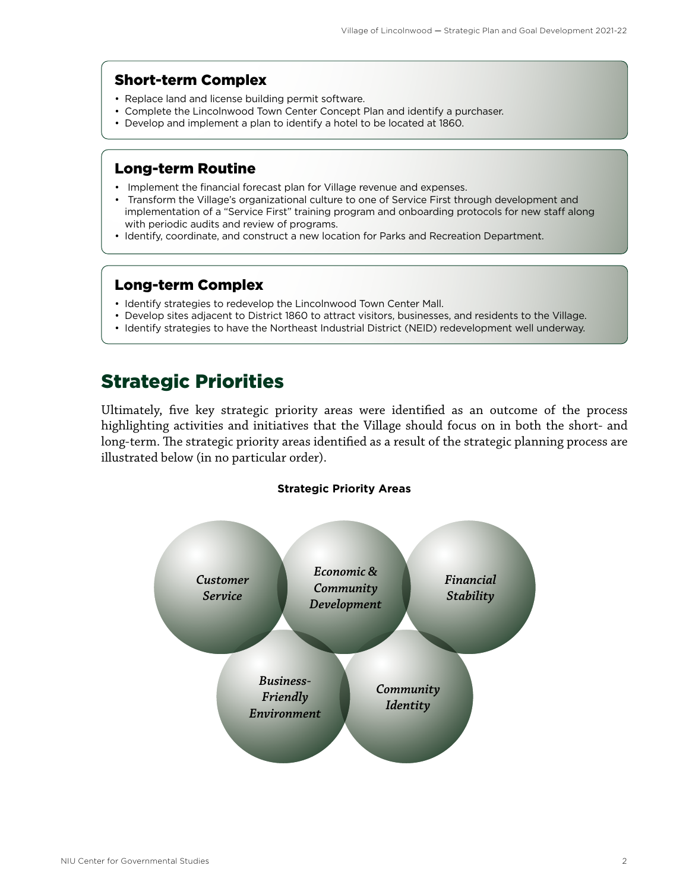### <span id="page-3-0"></span>Short-term Complex

- Replace land and license building permit software.
- Complete the Lincolnwood Town Center Concept Plan and identify a purchaser.
- Develop and implement a plan to identify a hotel to be located at 1860.

### Long-term Routine

- Implement the financial forecast plan for Village revenue and expenses.
- Transform the Village's organizational culture to one of Service First through development and implementation of a "Service First" training program and onboarding protocols for new staff along with periodic audits and review of programs.
- Identify, coordinate, and construct a new location for Parks and Recreation Department.

### Long-term Complex

- Identify strategies to redevelop the Lincolnwood Town Center Mall.
- Develop sites adjacent to District 1860 to attract visitors, businesses, and residents to the Village.
- Identify strategies to have the Northeast Industrial District (NEID) redevelopment well underway.

### Strategic Priorities

Ultimately, five key strategic priority areas were identified as an outcome of the process highlighting activities and initiatives that the Village should focus on in both the short- and long-term. The strategic priority areas identified as a result of the strategic planning process are illustrated below (in no particular order).

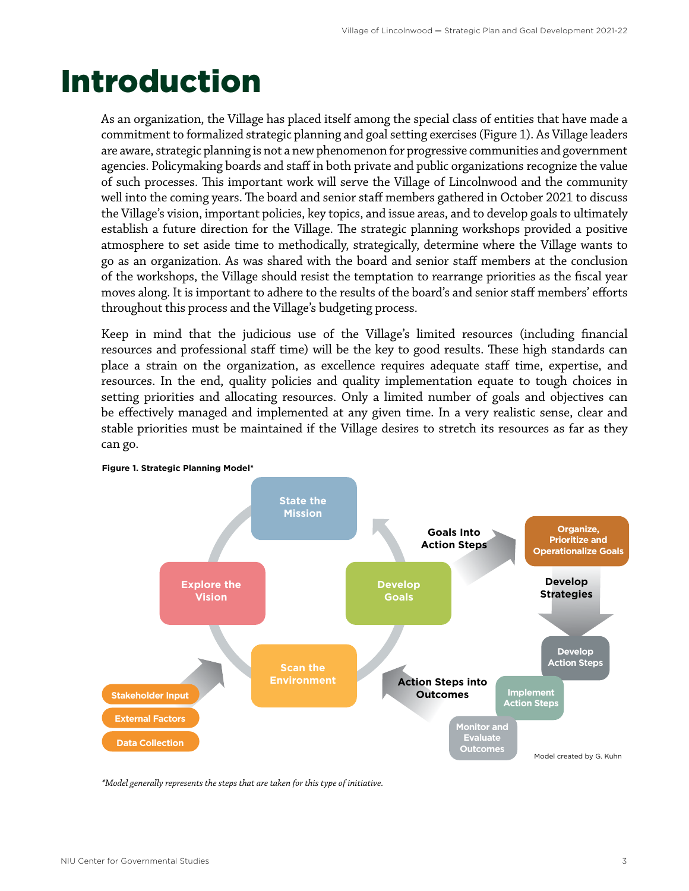## <span id="page-4-0"></span>Introduction

As an organization, the Village has placed itself among the special class of entities that have made a commitment to formalized strategic planning and goal setting exercises (Figure 1). As Village leaders are aware, strategic planning is not a new phenomenon for progressive communities and government agencies. Policymaking boards and staff in both private and public organizations recognize the value of such processes. This important work will serve the Village of Lincolnwood and the community well into the coming years. The board and senior staff members gathered in October 2021 to discuss the Village's vision, important policies, key topics, and issue areas, and to develop goals to ultimately establish a future direction for the Village. The strategic planning workshops provided a positive atmosphere to set aside time to methodically, strategically, determine where the Village wants to go as an organization. As was shared with the board and senior staff members at the conclusion of the workshops, the Village should resist the temptation to rearrange priorities as the fiscal year moves along. It is important to adhere to the results of the board's and senior staff members' efforts throughout this process and the Village's budgeting process.

Keep in mind that the judicious use of the Village's limited resources (including financial resources and professional staff time) will be the key to good results. These high standards can place a strain on the organization, as excellence requires adequate staff time, expertise, and resources. In the end, quality policies and quality implementation equate to tough choices in setting priorities and allocating resources. Only a limited number of goals and objectives can be effectively managed and implemented at any given time. In a very realistic sense, clear and stable priorities must be maintained if the Village desires to stretch its resources as far as they can go.



*Model generally represents the steps the are taken for this type of initiative. \*Model generally represents the steps that are taken for this type of initiative.*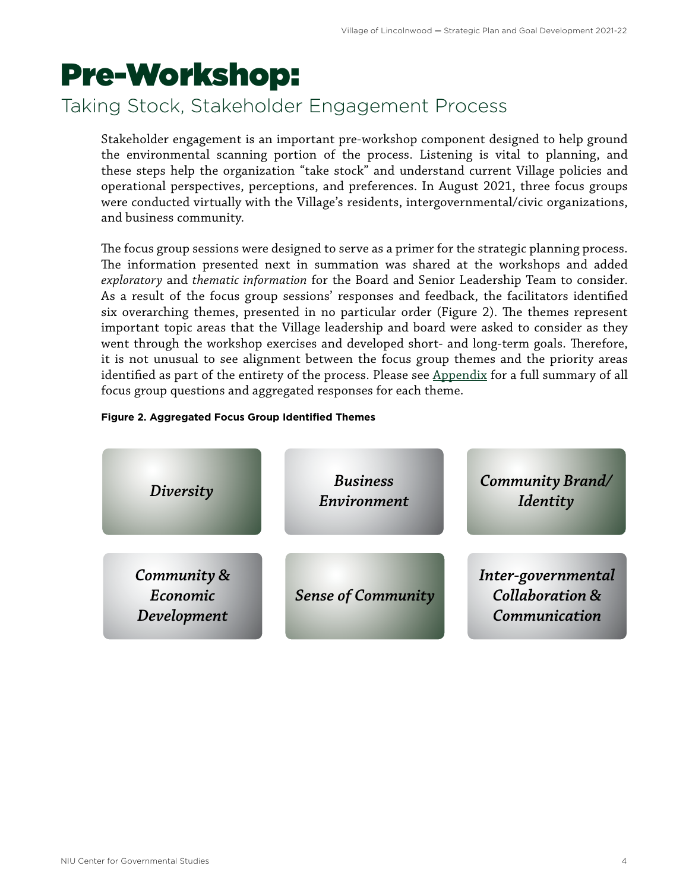## <span id="page-5-0"></span>Pre-Workshop:

### Taking Stock, Stakeholder Engagement Process

Stakeholder engagement is an important pre-workshop component designed to help ground the environmental scanning portion of the process. Listening is vital to planning, and these steps help the organization "take stock" and understand current Village policies and operational perspectives, perceptions, and preferences. In August 2021, three focus groups were conducted virtually with the Village's residents, intergovernmental/civic organizations, and business community.

The focus group sessions were designed to serve as a primer for the strategic planning process. The information presented next in summation was shared at the workshops and added *exploratory* and *thematic information* for the Board and Senior Leadership Team to consider. As a result of the focus group sessions' responses and feedback, the facilitators identified six overarching themes, presented in no particular order (Figure 2). The themes represent important topic areas that the Village leadership and board were asked to consider as they went through the workshop exercises and developed short- and long-term goals. Therefore, it is not unusual to see alignment between the focus group themes and the priority areas identified as part of the entirety of the process. Please see [Appendix](#page-16-0) for a full summary of all focus group questions and aggregated responses for each theme.

#### **Figure 2. Aggregated Focus Group Identified Themes**

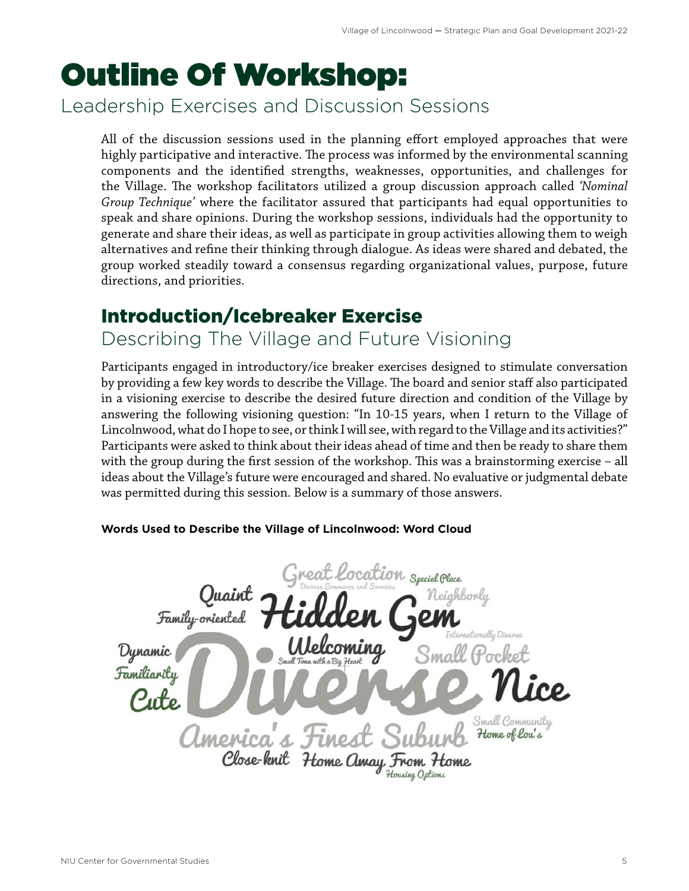# <span id="page-6-0"></span>Outline Of Workshop:

Leadership Exercises and Discussion Sessions

All of the discussion sessions used in the planning effort employed approaches that were highly participative and interactive. The process was informed by the environmental scanning components and the identified strengths, weaknesses, opportunities, and challenges for the Village. The workshop facilitators utilized a group discussion approach called *'Nominal Group Technique'* where the facilitator assured that participants had equal opportunities to speak and share opinions. During the workshop sessions, individuals had the opportunity to generate and share their ideas, as well as participate in group activities allowing them to weigh alternatives and refine their thinking through dialogue. As ideas were shared and debated, the group worked steadily toward a consensus regarding organizational values, purpose, future directions, and priorities.

### Introduction/Icebreaker Exercise

Describing The Village and Future Visioning

Participants engaged in introductory/ice breaker exercises designed to stimulate conversation by providing a few key words to describe the Village. The board and senior staff also participated in a visioning exercise to describe the desired future direction and condition of the Village by answering the following visioning question: "In 10-15 years, when I return to the Village of Lincolnwood, what do I hope to see, or think I will see, with regard to the Village and its activities?" Participants were asked to think about their ideas ahead of time and then be ready to share them with the group during the first session of the workshop. This was a brainstorming exercise – all ideas about the Village's future were encouraged and shared. No evaluative or judgmental debate was permitted during this session. Below is a summary of those answers.

### cation Special Place Neighborly Family-oriented Dynamic Familiarity Small Community America's Home of lou's Close-knit Home Amay From tousing Options

### **Words Used to Describe the Village of Lincolnwood: Word Cloud**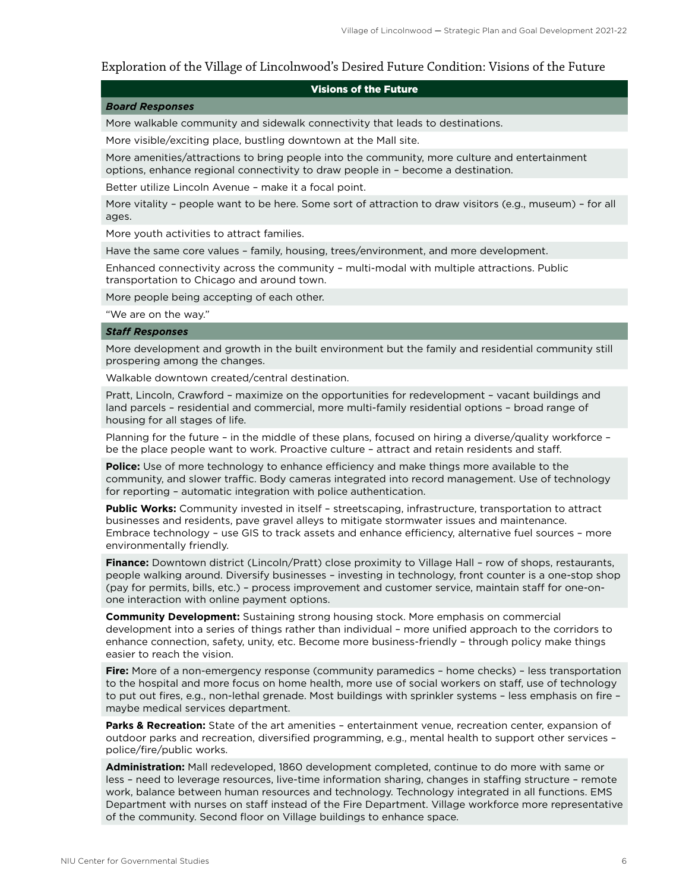### Exploration of the Village of Lincolnwood's Desired Future Condition: Visions of the Future

#### Visions of the Future

#### *Board Responses*

More walkable community and sidewalk connectivity that leads to destinations.

More visible/exciting place, bustling downtown at the Mall site.

More amenities/attractions to bring people into the community, more culture and entertainment options, enhance regional connectivity to draw people in – become a destination.

Better utilize Lincoln Avenue – make it a focal point.

More vitality – people want to be here. Some sort of attraction to draw visitors (e.g., museum) – for all ages.

More youth activities to attract families.

Have the same core values – family, housing, trees/environment, and more development.

Enhanced connectivity across the community – multi-modal with multiple attractions. Public transportation to Chicago and around town.

More people being accepting of each other.

"We are on the way."

#### *Staff Responses*

More development and growth in the built environment but the family and residential community still prospering among the changes.

Walkable downtown created/central destination.

Pratt, Lincoln, Crawford – maximize on the opportunities for redevelopment – vacant buildings and land parcels – residential and commercial, more multi-family residential options – broad range of housing for all stages of life.

Planning for the future – in the middle of these plans, focused on hiring a diverse/quality workforce – be the place people want to work. Proactive culture – attract and retain residents and staff.

**Police:** Use of more technology to enhance efficiency and make things more available to the community, and slower traffic. Body cameras integrated into record management. Use of technology for reporting – automatic integration with police authentication.

**Public Works:** Community invested in itself – streetscaping, infrastructure, transportation to attract businesses and residents, pave gravel alleys to mitigate stormwater issues and maintenance. Embrace technology – use GIS to track assets and enhance efficiency, alternative fuel sources – more environmentally friendly.

Finance: Downtown district (Lincoln/Pratt) close proximity to Village Hall - row of shops, restaurants, people walking around. Diversify businesses – investing in technology, front counter is a one-stop shop (pay for permits, bills, etc.) – process improvement and customer service, maintain staff for one-onone interaction with online payment options.

**Community Development:** Sustaining strong housing stock. More emphasis on commercial development into a series of things rather than individual – more unified approach to the corridors to enhance connection, safety, unity, etc. Become more business-friendly – through policy make things easier to reach the vision.

**Fire:** More of a non-emergency response (community paramedics – home checks) – less transportation to the hospital and more focus on home health, more use of social workers on staff, use of technology to put out fires, e.g., non-lethal grenade. Most buildings with sprinkler systems – less emphasis on fire – maybe medical services department.

**Parks & Recreation:** State of the art amenities – entertainment venue, recreation center, expansion of outdoor parks and recreation, diversified programming, e.g., mental health to support other services – police/fire/public works.

**Administration:** Mall redeveloped, 1860 development completed, continue to do more with same or less – need to leverage resources, live-time information sharing, changes in staffing structure – remote work, balance between human resources and technology. Technology integrated in all functions. EMS Department with nurses on staff instead of the Fire Department. Village workforce more representative of the community. Second floor on Village buildings to enhance space.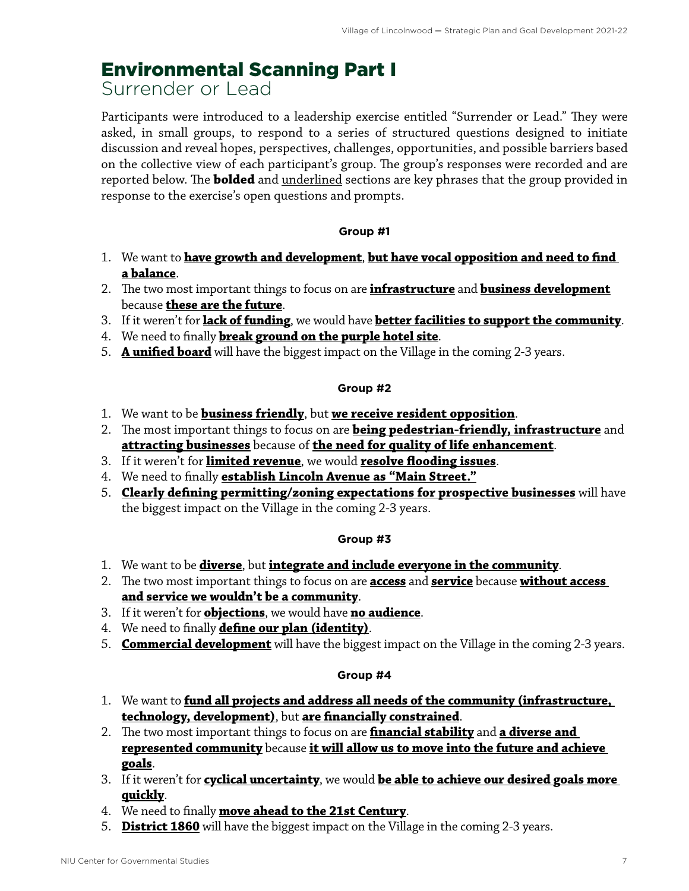### <span id="page-8-0"></span>Environmental Scanning Part I

Surrender or Lead

Participants were introduced to a leadership exercise entitled "Surrender or Lead." They were asked, in small groups, to respond to a series of structured questions designed to initiate discussion and reveal hopes, perspectives, challenges, opportunities, and possible barriers based on the collective view of each participant's group. The group's responses were recorded and are reported below. The **bolded** and underlined sections are key phrases that the group provided in response to the exercise's open questions and prompts.

### **Group #1**

- 1. We want to **have growth and development**, **but have vocal opposition and need to find a balance**.
- 2. The two most important things to focus on are **infrastructure** and **business development** because **these are the future**.
- 3. If it weren't for **lack of funding**, we would have **better facilities to support the community**.
- 4. We need to finally **break ground on the purple hotel site**.
- 5. **A unified board** will have the biggest impact on the Village in the coming 2-3 years.

### **Group #2**

- 1. We want to be **business friendly**, but **we receive resident opposition**.
- 2. The most important things to focus on are **being pedestrian-friendly, infrastructure** and **attracting businesses** because of **the need for quality of life enhancement**.
- 3. If it weren't for **limited revenue**, we would **resolve flooding issues**.
- 4. We need to finally **establish Lincoln Avenue as "Main Street."**
- 5. **Clearly defining permitting/zoning expectations for prospective businesses** will have the biggest impact on the Village in the coming 2-3 years.

### **Group #3**

- 1. We want to be **diverse**, but **integrate and include everyone in the community**.
- 2. The two most important things to focus on are **access** and **service** because **without access and service we wouldn't be a community**.
- 3. If it weren't for **objections**, we would have **no audience**.
- 4. We need to finally **define our plan (identity)**.
- 5. **Commercial development** will have the biggest impact on the Village in the coming 2-3 years.

### **Group #4**

- 1. We want to **fund all projects and address all needs of the community (infrastructure, technology, development)**, but **are financially constrained**.
- 2. The two most important things to focus on are **financial stability** and **a diverse and represented community** because **it will allow us to move into the future and achieve goals**.
- 3. If it weren't for **cyclical uncertainty**, we would **be able to achieve our desired goals more quickly**.
- 4. We need to finally **move ahead to the 21st Century**.
- 5. **District 1860** will have the biggest impact on the Village in the coming 2-3 years.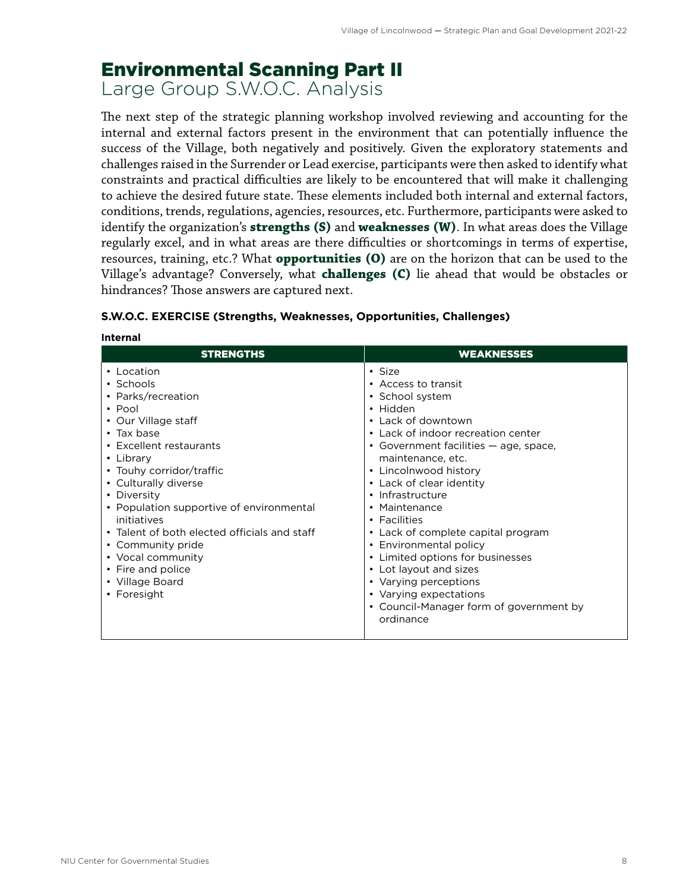### <span id="page-9-0"></span>Environmental Scanning Part II

Large Group S.W.O.C. Analysis

The next step of the strategic planning workshop involved reviewing and accounting for the internal and external factors present in the environment that can potentially influence the success of the Village, both negatively and positively. Given the exploratory statements and challenges raised in the Surrender or Lead exercise, participants were then asked to identify what constraints and practical difficulties are likely to be encountered that will make it challenging to achieve the desired future state. These elements included both internal and external factors, conditions, trends, regulations, agencies, resources, etc. Furthermore, participants were asked to identify the organization's **strengths (S)** and **weaknesses (W)**. In what areas does the Village regularly excel, and in what areas are there difficulties or shortcomings in terms of expertise, resources, training, etc.? What **opportunities (O)** are on the horizon that can be used to the Village's advantage? Conversely, what **challenges (C)** lie ahead that would be obstacles or hindrances? Those answers are captured next.

| <b>STRENGTHS</b>                                                                                                                                                                                                                                                                                                                                                                                                                | <b>WEAKNESSES</b>                                                                                                                                                                                                                                                                                                                                                                                                                                                                                                                         |
|---------------------------------------------------------------------------------------------------------------------------------------------------------------------------------------------------------------------------------------------------------------------------------------------------------------------------------------------------------------------------------------------------------------------------------|-------------------------------------------------------------------------------------------------------------------------------------------------------------------------------------------------------------------------------------------------------------------------------------------------------------------------------------------------------------------------------------------------------------------------------------------------------------------------------------------------------------------------------------------|
| • Location<br>• Schools<br>• Parks/recreation<br>$\cdot$ Pool<br>• Our Village staff<br>$\cdot$ Tax base<br>• Excellent restaurants<br>• Library<br>• Touhy corridor/traffic<br>• Culturally diverse<br>• Diversity<br>• Population supportive of environmental<br>initiatives<br>• Talent of both elected officials and staff<br>• Community pride<br>• Vocal community<br>• Fire and police<br>• Village Board<br>• Foresight | • Size<br>• Access to transit<br>• School system<br>• Hidden<br>• Lack of downtown<br>• Lack of indoor recreation center<br>• Government facilities — age, space,<br>maintenance, etc.<br>• Lincolnwood history<br>• Lack of clear identity<br>• Infrastructure<br>• Maintenance<br>• Facilities<br>• Lack of complete capital program<br>• Environmental policy<br>• Limited options for businesses<br>• Lot layout and sizes<br>• Varying perceptions<br>• Varying expectations<br>• Council-Manager form of government by<br>ordinance |

#### **S.W.O.C. EXERCISE (Strengths, Weaknesses, Opportunities, Challenges)**

**Internal**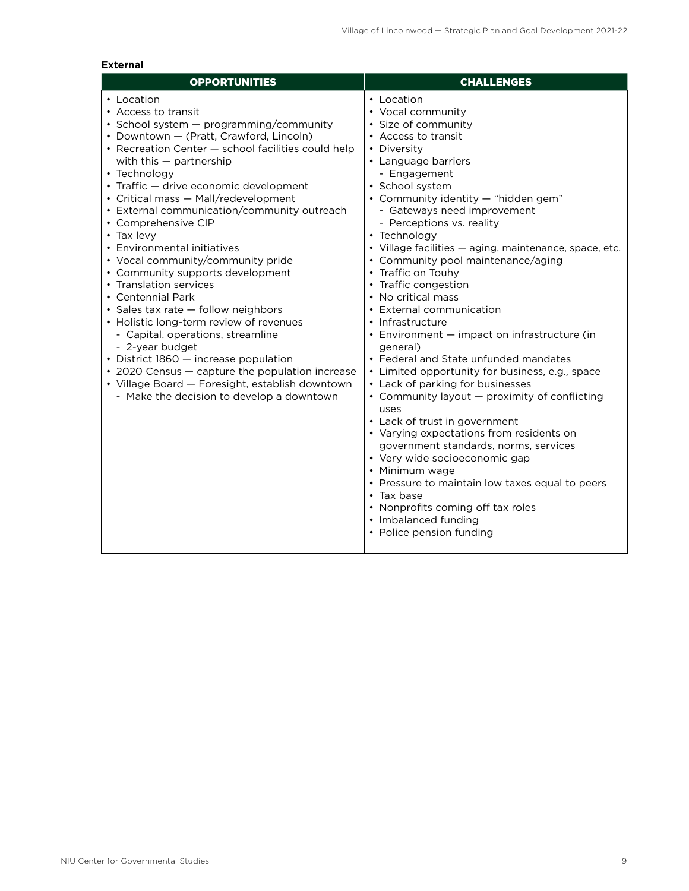| <b>OPPORTUNITIES</b>                                                                                                                                                                                                                                                                                                                                                                                                                                                                                                                                                                                                                                                                                                                                                                                                                                                                            | <b>CHALLENGES</b>                                                                                                                                                                                                                                                                                                                                                                                                                                                                                                                                                                                                                                                                                                                                                                                                                                                                                                                                                                                                                                                                           |
|-------------------------------------------------------------------------------------------------------------------------------------------------------------------------------------------------------------------------------------------------------------------------------------------------------------------------------------------------------------------------------------------------------------------------------------------------------------------------------------------------------------------------------------------------------------------------------------------------------------------------------------------------------------------------------------------------------------------------------------------------------------------------------------------------------------------------------------------------------------------------------------------------|---------------------------------------------------------------------------------------------------------------------------------------------------------------------------------------------------------------------------------------------------------------------------------------------------------------------------------------------------------------------------------------------------------------------------------------------------------------------------------------------------------------------------------------------------------------------------------------------------------------------------------------------------------------------------------------------------------------------------------------------------------------------------------------------------------------------------------------------------------------------------------------------------------------------------------------------------------------------------------------------------------------------------------------------------------------------------------------------|
| • Location<br>• Access to transit<br>• School system $-$ programming/community<br>• Downtown - (Pratt, Crawford, Lincoln)<br>• Recreation Center - school facilities could help<br>with this $-$ partnership<br>• Technology<br>• Traffic - drive economic development<br>• Critical mass - Mall/redevelopment<br>• External communication/community outreach<br>• Comprehensive CIP<br>• Tax levy<br>• Environmental initiatives<br>• Vocal community/community pride<br>• Community supports development<br>• Translation services<br>• Centennial Park<br>· Sales tax rate - follow neighbors<br>• Holistic long-term review of revenues<br>- Capital, operations, streamline<br>- 2-year budget<br>• District 1860 - increase population<br>• 2020 Census — capture the population increase<br>• Village Board - Foresight, establish downtown<br>- Make the decision to develop a downtown | • Location<br>• Vocal community<br>• Size of community<br>• Access to transit<br>• Diversity<br>• Language barriers<br>- Engagement<br>• School system<br>• Community identity - "hidden gem"<br>- Gateways need improvement<br>- Perceptions vs. reality<br>• Technology<br>• Village facilities - aging, maintenance, space, etc.<br>• Community pool maintenance/aging<br>• Traffic on Touhy<br>• Traffic congestion<br>• No critical mass<br>• External communication<br>• Infrastructure<br>• Environment - impact on infrastructure (in<br>general)<br>• Federal and State unfunded mandates<br>• Limited opportunity for business, e.g., space<br>• Lack of parking for businesses<br>• Community layout – proximity of conflicting<br>uses<br>• Lack of trust in government<br>• Varying expectations from residents on<br>government standards, norms, services<br>• Very wide socioeconomic gap<br>• Minimum wage<br>• Pressure to maintain low taxes equal to peers<br>$\cdot$ Tax base<br>• Nonprofits coming off tax roles<br>• Imbalanced funding<br>• Police pension funding |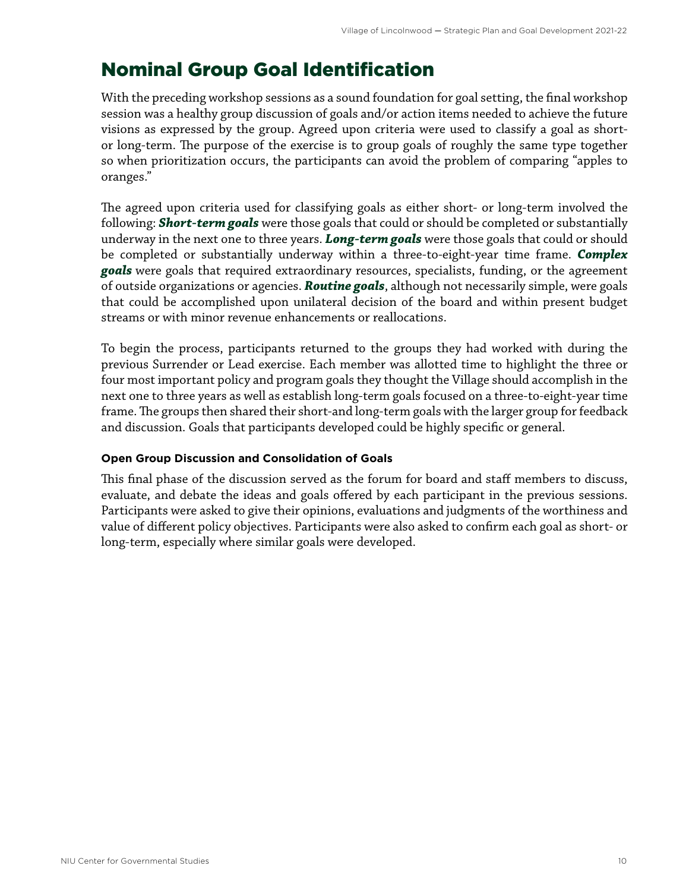### <span id="page-11-0"></span>Nominal Group Goal Identification

With the preceding workshop sessions as a sound foundation for goal setting, the final workshop session was a healthy group discussion of goals and/or action items needed to achieve the future visions as expressed by the group. Agreed upon criteria were used to classify a goal as shortor long-term. The purpose of the exercise is to group goals of roughly the same type together so when prioritization occurs, the participants can avoid the problem of comparing "apples to oranges."

The agreed upon criteria used for classifying goals as either short- or long-term involved the following: *Short-term goals* were those goals that could or should be completed or substantially underway in the next one to three years. *Long-term goals* were those goals that could or should be completed or substantially underway within a three-to-eight-year time frame. *Complex goals* were goals that required extraordinary resources, specialists, funding, or the agreement of outside organizations or agencies. *Routine goals*, although not necessarily simple, were goals that could be accomplished upon unilateral decision of the board and within present budget streams or with minor revenue enhancements or reallocations.

To begin the process, participants returned to the groups they had worked with during the previous Surrender or Lead exercise. Each member was allotted time to highlight the three or four most important policy and program goals they thought the Village should accomplish in the next one to three years as well as establish long-term goals focused on a three-to-eight-year time frame. The groups then shared their short-and long-term goals with the larger group for feedback and discussion. Goals that participants developed could be highly specific or general.

### **Open Group Discussion and Consolidation of Goals**

This final phase of the discussion served as the forum for board and staff members to discuss, evaluate, and debate the ideas and goals offered by each participant in the previous sessions. Participants were asked to give their opinions, evaluations and judgments of the worthiness and value of different policy objectives. Participants were also asked to confirm each goal as short- or long-term, especially where similar goals were developed.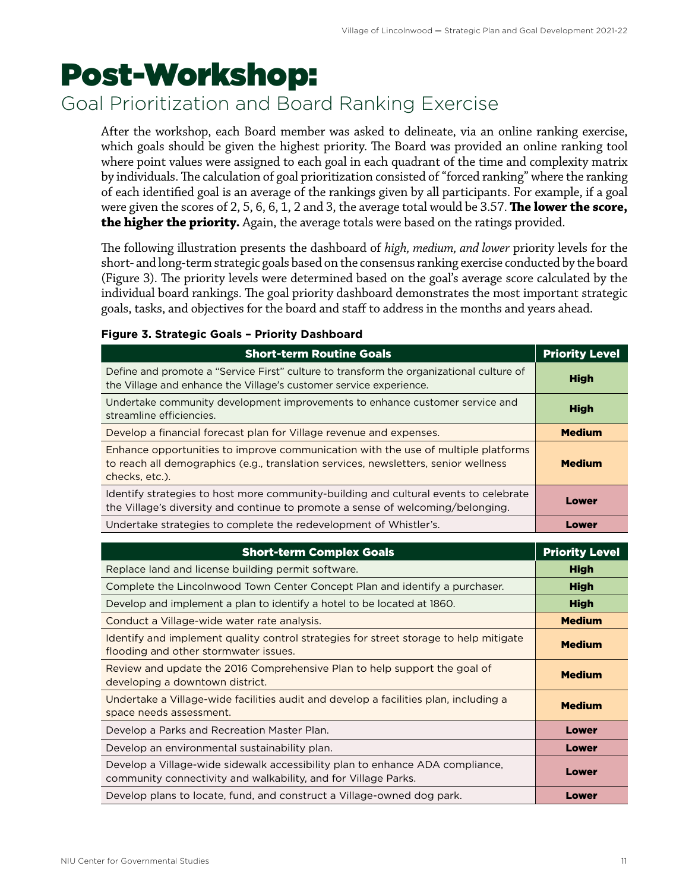## <span id="page-12-0"></span>Post-Workshop:

### Goal Prioritization and Board Ranking Exercise

After the workshop, each Board member was asked to delineate, via an online ranking exercise, which goals should be given the highest priority. The Board was provided an online ranking tool where point values were assigned to each goal in each quadrant of the time and complexity matrix by individuals. The calculation of goal prioritization consisted of "forced ranking" where the ranking of each identified goal is an average of the rankings given by all participants. For example, if a goal were given the scores of 2, 5, 6, 6, 1, 2 and 3, the average total would be 3.57. **The lower the score, the higher the priority.** Again, the average totals were based on the ratings provided.

The following illustration presents the dashboard of *high, medium, and lower* priority levels for the short- and long-term strategic goals based on the consensus ranking exercise conducted by the board (Figure 3). The priority levels were determined based on the goal's average score calculated by the individual board rankings. The goal priority dashboard demonstrates the most important strategic goals, tasks, and objectives for the board and staff to address in the months and years ahead.

|  |  |  |  |  | Figure 3. Strategic Goals - Priority Dashboard |
|--|--|--|--|--|------------------------------------------------|
|--|--|--|--|--|------------------------------------------------|

| <b>Short-term Routine Goals</b>                                                                                                                                                            | <b>Priority Level</b> |
|--------------------------------------------------------------------------------------------------------------------------------------------------------------------------------------------|-----------------------|
| Define and promote a "Service First" culture to transform the organizational culture of<br>the Village and enhance the Village's customer service experience.                              | <b>High</b>           |
| Undertake community development improvements to enhance customer service and<br>streamline efficiencies.                                                                                   | <b>High</b>           |
| Develop a financial forecast plan for Village revenue and expenses.                                                                                                                        | <b>Medium</b>         |
| Enhance opportunities to improve communication with the use of multiple platforms<br>to reach all demographics (e.g., translation services, newsletters, senior wellness<br>checks, etc.). | <b>Medium</b>         |
| Identify strategies to host more community-building and cultural events to celebrate<br>the Village's diversity and continue to promote a sense of welcoming/belonging.                    | Lower                 |
| Undertake strategies to complete the redevelopment of Whistler's.                                                                                                                          | Lower                 |

| <b>Short-term Complex Goals</b>                                                                                                                 | <b>Priority Level</b> |
|-------------------------------------------------------------------------------------------------------------------------------------------------|-----------------------|
| Replace land and license building permit software.                                                                                              | <b>High</b>           |
| Complete the Lincolnwood Town Center Concept Plan and identify a purchaser.                                                                     | <b>High</b>           |
| Develop and implement a plan to identify a hotel to be located at 1860.                                                                         | <b>High</b>           |
| Conduct a Village-wide water rate analysis.                                                                                                     | <b>Medium</b>         |
| Identify and implement quality control strategies for street storage to help mitigate<br>flooding and other stormwater issues.                  | <b>Medium</b>         |
| Review and update the 2016 Comprehensive Plan to help support the goal of<br>developing a downtown district.                                    | <b>Medium</b>         |
| Undertake a Village-wide facilities audit and develop a facilities plan, including a<br>space needs assessment.                                 | <b>Medium</b>         |
| Develop a Parks and Recreation Master Plan.                                                                                                     | Lower                 |
| Develop an environmental sustainability plan.                                                                                                   | Lower                 |
| Develop a Village-wide sidewalk accessibility plan to enhance ADA compliance,<br>community connectivity and walkability, and for Village Parks. | Lower                 |
| Develop plans to locate, fund, and construct a Village-owned dog park.                                                                          | Lower                 |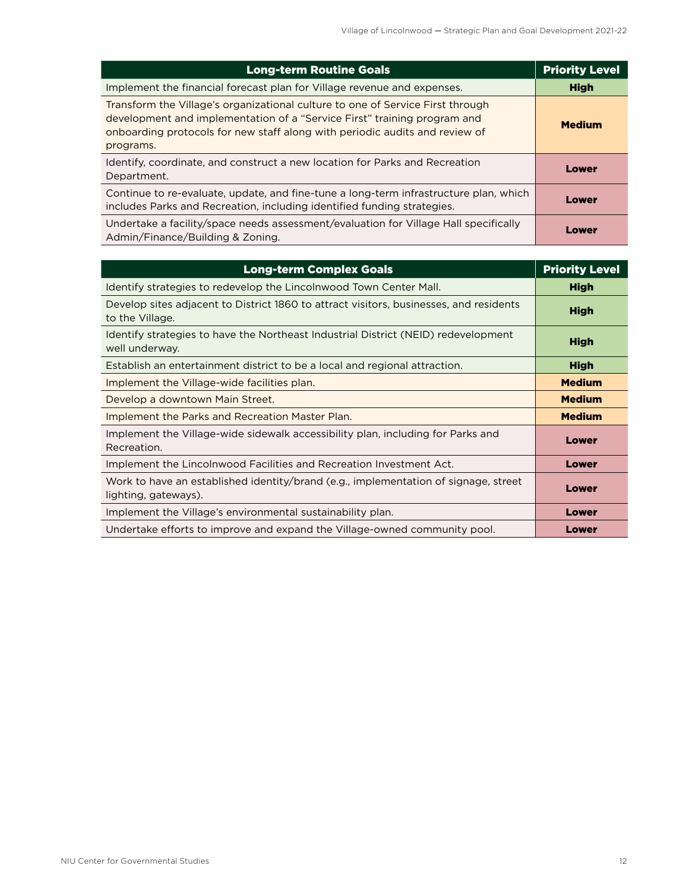| <b>Long-term Routine Goals</b>                                                                                                                                                                                                                         | <b>Priority Level</b> |
|--------------------------------------------------------------------------------------------------------------------------------------------------------------------------------------------------------------------------------------------------------|-----------------------|
| Implement the financial forecast plan for Village revenue and expenses.                                                                                                                                                                                | <b>High</b>           |
| Transform the Village's organizational culture to one of Service First through<br>development and implementation of a "Service First" training program and<br>onboarding protocols for new staff along with periodic audits and review of<br>programs. | <b>Medium</b>         |
| Identify, coordinate, and construct a new location for Parks and Recreation<br>Department.                                                                                                                                                             | Lower                 |
| Continue to re-evaluate, update, and fine-tune a long-term infrastructure plan, which<br>includes Parks and Recreation, including identified funding strategies.                                                                                       | Lower                 |
| Undertake a facility/space needs assessment/evaluation for Village Hall specifically<br>Admin/Finance/Building & Zoning.                                                                                                                               | Lower                 |

| <b>Long-term Complex Goals</b>                                                                              | <b>Priority Level</b> |
|-------------------------------------------------------------------------------------------------------------|-----------------------|
| Identify strategies to redevelop the Lincolnwood Town Center Mall.                                          | <b>High</b>           |
| Develop sites adjacent to District 1860 to attract visitors, businesses, and residents<br>to the Village.   | <b>High</b>           |
| Identify strategies to have the Northeast Industrial District (NEID) redevelopment<br>well underway.        | <b>High</b>           |
| Establish an entertainment district to be a local and regional attraction.                                  | <b>High</b>           |
| Implement the Village-wide facilities plan.                                                                 | <b>Medium</b>         |
| Develop a downtown Main Street.                                                                             | <b>Medium</b>         |
| Implement the Parks and Recreation Master Plan.                                                             | <b>Medium</b>         |
| Implement the Village-wide sidewalk accessibility plan, including for Parks and<br>Recreation.              | Lower                 |
| Implement the Lincolnwood Facilities and Recreation Investment Act.                                         | Lower                 |
| Work to have an established identity/brand (e.g., implementation of signage, street<br>lighting, gateways). | Lower                 |
| Implement the Village's environmental sustainability plan.                                                  | Lower                 |
| Undertake efforts to improve and expand the Village-owned community pool.                                   | Lower                 |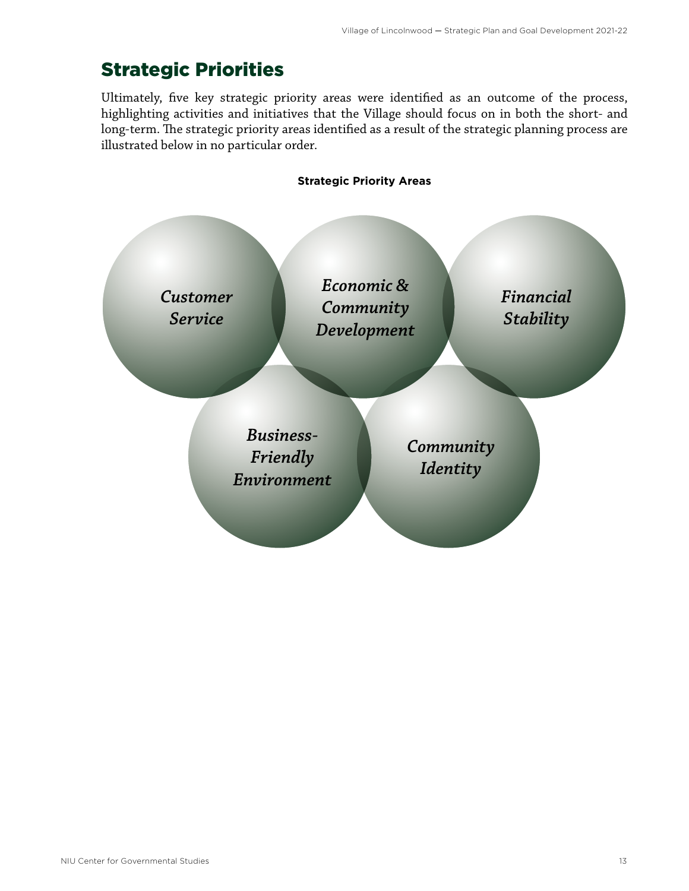### <span id="page-14-0"></span>Strategic Priorities

Ultimately, five key strategic priority areas were identified as an outcome of the process, highlighting activities and initiatives that the Village should focus on in both the short- and long-term. The strategic priority areas identified as a result of the strategic planning process are illustrated below in no particular order.

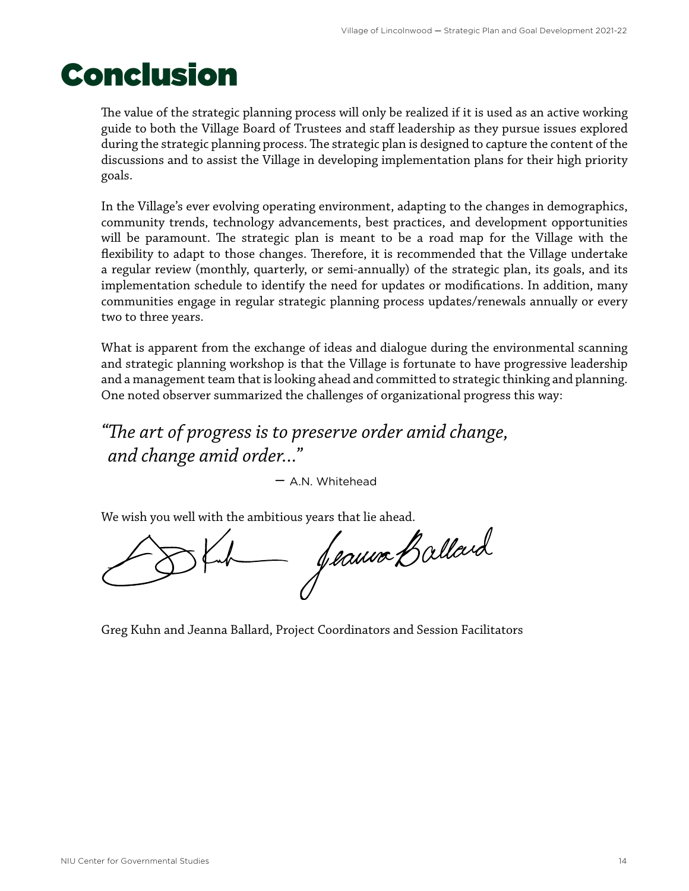## <span id="page-15-0"></span>Conclusion

The value of the strategic planning process will only be realized if it is used as an active working guide to both the Village Board of Trustees and staff leadership as they pursue issues explored during the strategic planning process. The strategic plan is designed to capture the content of the discussions and to assist the Village in developing implementation plans for their high priority goals.

In the Village's ever evolving operating environment, adapting to the changes in demographics, community trends, technology advancements, best practices, and development opportunities will be paramount. The strategic plan is meant to be a road map for the Village with the flexibility to adapt to those changes. Therefore, it is recommended that the Village undertake a regular review (monthly, quarterly, or semi-annually) of the strategic plan, its goals, and its implementation schedule to identify the need for updates or modifications. In addition, many communities engage in regular strategic planning process updates/renewals annually or every two to three years.

What is apparent from the exchange of ideas and dialogue during the environmental scanning and strategic planning workshop is that the Village is fortunate to have progressive leadership and a management team that is looking ahead and committed to strategic thinking and planning. One noted observer summarized the challenges of organizational progress this way:

*"The art of progress is to preserve order amid change, and change amid order..."*

– A.N. Whitehead

We wish you well with the ambitious years that lie ahead.<br>
Subset of latter of latter of allard

Greg Kuhn and Jeanna Ballard, Project Coordinators and Session Facilitators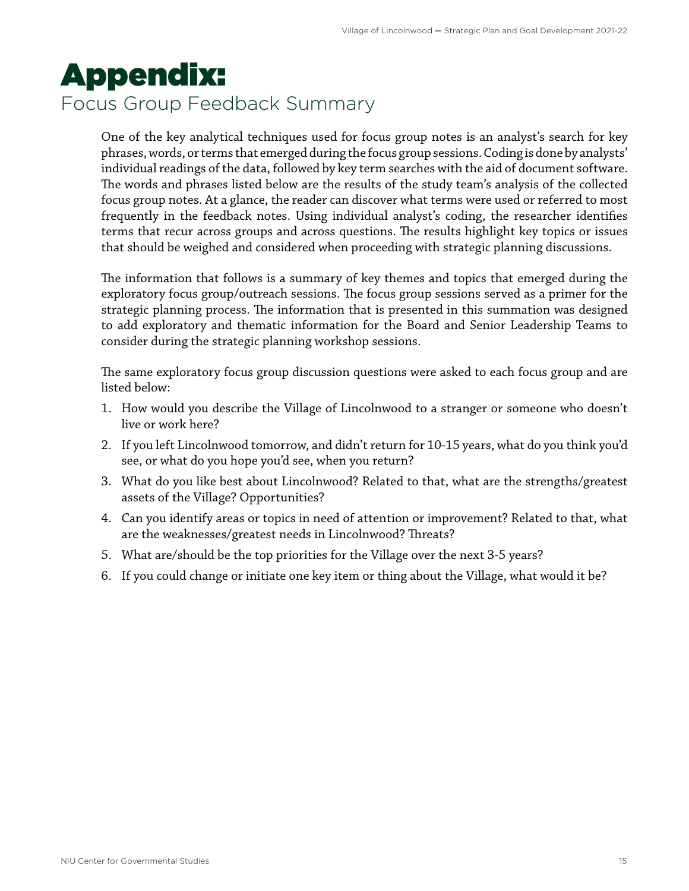## <span id="page-16-0"></span>Appendix: Focus Group Feedback Summary

One of the key analytical techniques used for focus group notes is an analyst's search for key phrases, words, or terms that emerged during the focus group sessions. Coding is done by analysts' individual readings of the data, followed by key term searches with the aid of document software. The words and phrases listed below are the results of the study team's analysis of the collected focus group notes. At a glance, the reader can discover what terms were used or referred to most frequently in the feedback notes. Using individual analyst's coding, the researcher identifies terms that recur across groups and across questions. The results highlight key topics or issues that should be weighed and considered when proceeding with strategic planning discussions.

The information that follows is a summary of key themes and topics that emerged during the exploratory focus group/outreach sessions. The focus group sessions served as a primer for the strategic planning process. The information that is presented in this summation was designed to add exploratory and thematic information for the Board and Senior Leadership Teams to consider during the strategic planning workshop sessions.

The same exploratory focus group discussion questions were asked to each focus group and are listed below:

- 1. How would you describe the Village of Lincolnwood to a stranger or someone who doesn't live or work here?
- 2. If you left Lincolnwood tomorrow, and didn't return for 10-15 years, what do you think you'd see, or what do you hope you'd see, when you return?
- 3. What do you like best about Lincolnwood? Related to that, what are the strengths/greatest assets of the Village? Opportunities?
- 4. Can you identify areas or topics in need of attention or improvement? Related to that, what are the weaknesses/greatest needs in Lincolnwood? Threats?
- 5. What are/should be the top priorities for the Village over the next 3-5 years?
- 6. If you could change or initiate one key item or thing about the Village, what would it be?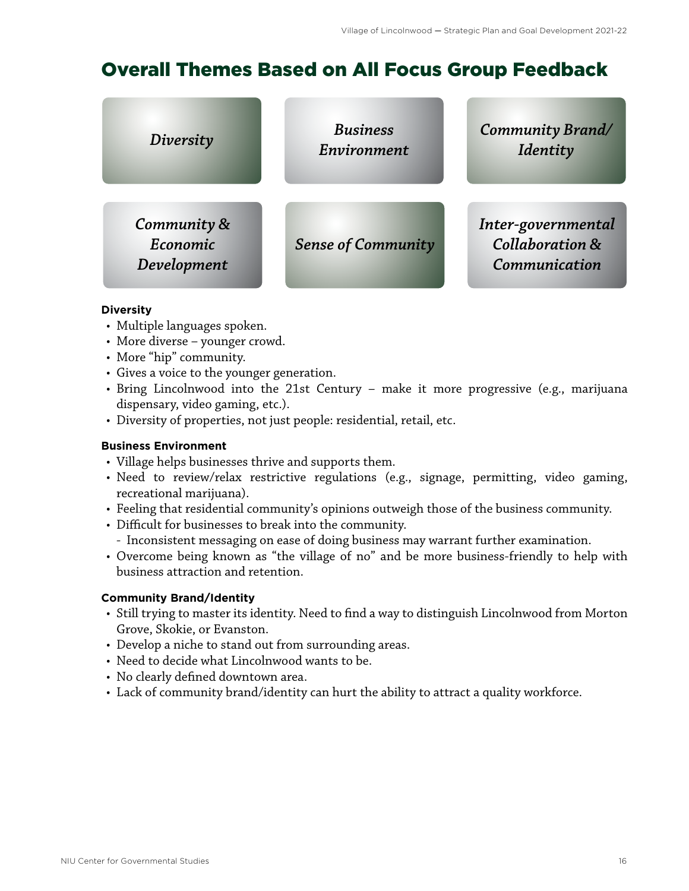### <span id="page-17-0"></span>Overall Themes Based on All Focus Group Feedback

| Diversity                              | <b>Business</b><br>Environment | <b>Community Brand/</b><br>Identity                               |
|----------------------------------------|--------------------------------|-------------------------------------------------------------------|
| Community &<br>Economic<br>Development | <b>Sense of Community</b>      | Inter-governmental<br><b>Collaboration &amp;</b><br>Communication |

#### **Diversity**

- Multiple languages spoken.
- More diverse younger crowd.
- More "hip" community.
- Gives a voice to the younger generation.
- Bring Lincolnwood into the 21st Century make it more progressive (e.g., marijuana dispensary, video gaming, etc.).
- Diversity of properties, not just people: residential, retail, etc.

### **Business Environment**

- Village helps businesses thrive and supports them.
- Need to review/relax restrictive regulations (e.g., signage, permitting, video gaming, recreational marijuana).
- Feeling that residential community's opinions outweigh those of the business community.
- Difficult for businesses to break into the community.
- Inconsistent messaging on ease of doing business may warrant further examination.
- Overcome being known as "the village of no" and be more business-friendly to help with business attraction and retention.

### **Community Brand/Identity**

- Still trying to master its identity. Need to find a way to distinguish Lincolnwood from Morton Grove, Skokie, or Evanston.
- Develop a niche to stand out from surrounding areas.
- Need to decide what Lincolnwood wants to be.
- No clearly defined downtown area.
- Lack of community brand/identity can hurt the ability to attract a quality workforce.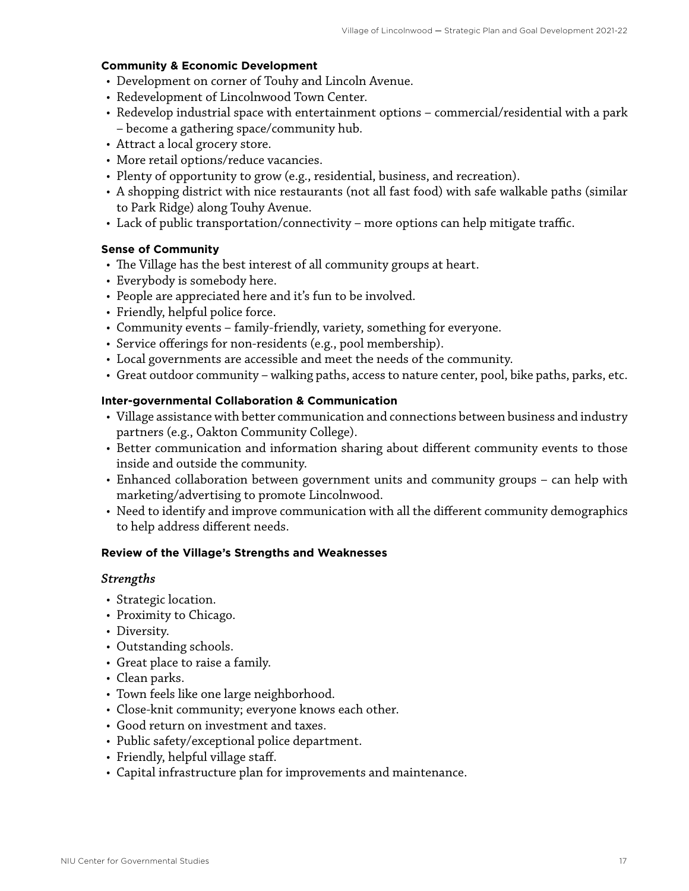#### **Community & Economic Development**

- Development on corner of Touhy and Lincoln Avenue.
- Redevelopment of Lincolnwood Town Center.
- Redevelop industrial space with entertainment options commercial/residential with a park – become a gathering space/community hub.
- Attract a local grocery store.
- More retail options/reduce vacancies.
- Plenty of opportunity to grow (e.g., residential, business, and recreation).
- A shopping district with nice restaurants (not all fast food) with safe walkable paths (similar to Park Ridge) along Touhy Avenue.
- Lack of public transportation/connectivity more options can help mitigate traffic.

### **Sense of Community**

- The Village has the best interest of all community groups at heart.
- Everybody is somebody here.
- People are appreciated here and it's fun to be involved.
- Friendly, helpful police force.
- Community events family-friendly, variety, something for everyone.
- Service offerings for non-residents (e.g., pool membership).
- Local governments are accessible and meet the needs of the community.
- Great outdoor community walking paths, access to nature center, pool, bike paths, parks, etc.

### **Inter-governmental Collaboration & Communication**

- Village assistance with better communication and connections between business and industry partners (e.g., Oakton Community College).
- Better communication and information sharing about different community events to those inside and outside the community.
- Enhanced collaboration between government units and community groups can help with marketing/advertising to promote Lincolnwood.
- Need to identify and improve communication with all the different community demographics to help address different needs.

### **Review of the Village's Strengths and Weaknesses**

### *Strengths*

- Strategic location.
- Proximity to Chicago.
- Diversity.
- Outstanding schools.
- Great place to raise a family.
- Clean parks.
- Town feels like one large neighborhood.
- Close-knit community; everyone knows each other.
- Good return on investment and taxes.
- Public safety/exceptional police department.
- Friendly, helpful village staff.
- Capital infrastructure plan for improvements and maintenance.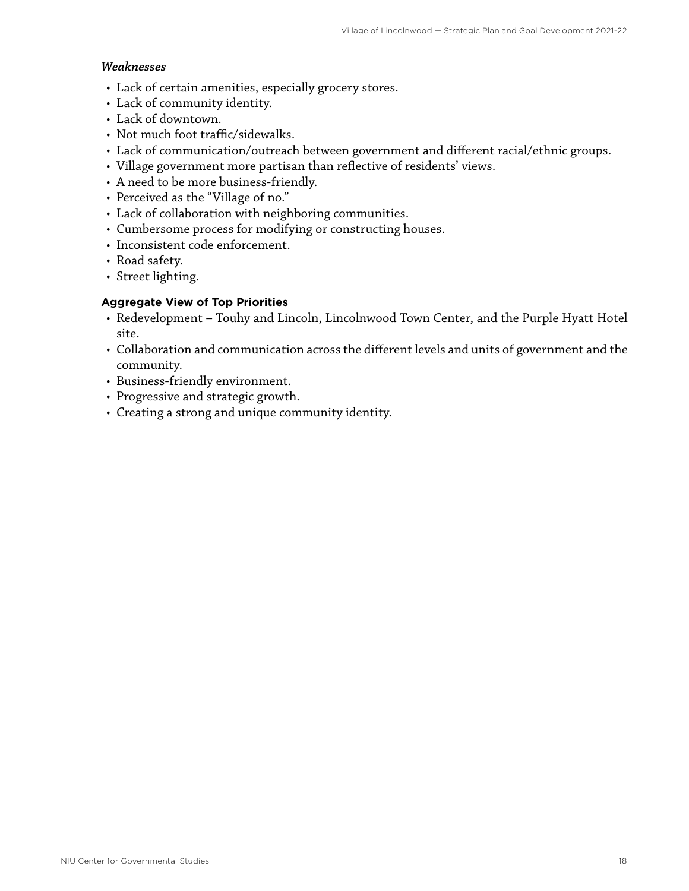### *Weaknesses*

- Lack of certain amenities, especially grocery stores.
- Lack of community identity.
- Lack of downtown.
- Not much foot traffic/sidewalks.
- Lack of communication/outreach between government and different racial/ethnic groups.
- Village government more partisan than reflective of residents' views.
- A need to be more business-friendly.
- Perceived as the "Village of no."
- Lack of collaboration with neighboring communities.
- Cumbersome process for modifying or constructing houses.
- Inconsistent code enforcement.
- Road safety.
- Street lighting.

### **Aggregate View of Top Priorities**

- Redevelopment Touhy and Lincoln, Lincolnwood Town Center, and the Purple Hyatt Hotel site.
- Collaboration and communication across the different levels and units of government and the community.
- Business-friendly environment.
- Progressive and strategic growth.
- Creating a strong and unique community identity.